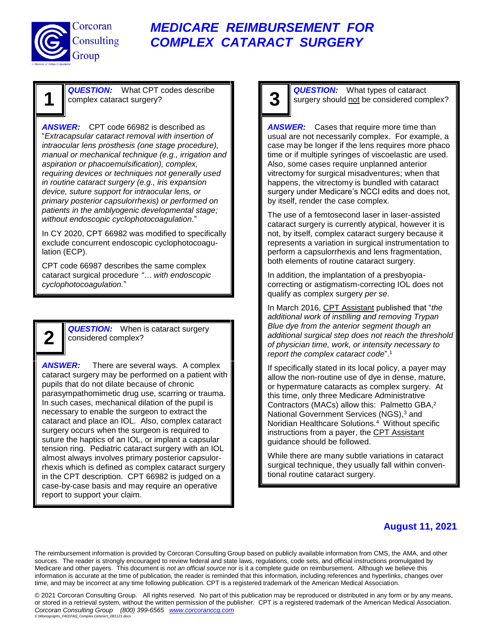

**1**

**2**

### *MEDICARE REIMBURSEMENT FOR COMPLEX CATARACT SURGERY*

*QUESTION:* What CPT codes describe complex cataract surgery?

*ANSWER:* CPT code 66982 is described as "*Extracapsular cataract removal with insertion of intraocular lens prosthesis (one stage procedure), manual or mechanical technique (e.g., irrigation and aspiration or phacoemulsification), complex, requiring devices or techniques not generally used in routine cataract surgery (e.g., iris expansion device, suture support for intraocular lens, or primary posterior capsulorrhexis) or performed on patients in the amblyogenic developmental stage; without endoscopic cyclophotocoagulation.*"

In CY 2020, CPT 66982 was modified to specifically exclude concurrent endoscopic cyclophotocoagulation (ECP).

CPT code 66987 describes the same complex cataract surgical procedure *"… with endoscopic cyclophotocoagulation.*"

> **QUESTION:** When is cataract surgery considered complex?

*ANSWER:* There are several ways. A complex cataract surgery may be performed on a patient with pupils that do not dilate because of chronic parasympathomimetic drug use, scarring or trauma. In such cases, mechanical dilation of the pupil is necessary to enable the surgeon to extract the cataract and place an IOL. Also, complex cataract surgery occurs when the surgeon is required to suture the haptics of an IOL, or implant a capsular tension ring. Pediatric cataract surgery with an IOL almost always involves primary posterior capsulorrhexis which is defined as complex cataract surgery in the CPT description. CPT 66982 is judged on a case-by-case basis and may require an operative report to support your claim.

# **3**

*QUESTION:* What types of cataract surgery should not be considered complex?

*ANSWER:* Cases that require more time than usual are not necessarily complex. For example, a case may be longer if the lens requires more phaco time or if multiple syringes of viscoelastic are used. Also, some cases require unplanned anterior vitrectomy for surgical misadventures; when that happens, the vitrectomy is bundled with cataract surgery under Medicare's NCCI edits and does not, by itself, render the case complex.

The use of a femtosecond laser in laser-assisted cataract surgery is currently atypical, however it is not, by itself, complex cataract surgery because it represents a variation in surgical instrumentation to perform a capsulorrhexis and lens fragmentation, both elements of routine cataract surgery.

In addition, the implantation of a presbyopiacorrecting or astigmatism-correcting IOL does not qualify as complex surgery *per se*.

In March 2016, CPT Assistant published that "*the additional work of instilling and removing Trypan Blue dye from the anterior segment though an additional surgical step does not reach the threshold of physician time, work, or intensity necessary to report the complex cataract code*".<sup>1</sup>

If specifically stated in its local policy, a payer may allow the non-routine use of dye in dense, mature, or hypermature cataracts as complex surgery. At this time, only three Medicare Administrative Contractors (MACs) allow this: Palmetto GBA, 2 National Government Services (NGS), <sup>3</sup> and Noridian Healthcare Solutions.<sup>4</sup> Without specific instructions from a payer, the CPT Assistant guidance should be followed.

While there are many subtle variations in cataract surgical technique, they usually fall within conventional routine cataract surgery.

#### **August 11, 2021**

The reimbursement information is provided by Corcoran Consulting Group based on publicly available information from CMS, the AMA, and other sources. The reader is strongly encouraged to review federal and state laws, regulations, code sets, and official instructions promulgated by Medicare and other payers. This document is *not an official source* nor is it a complete guide on reimbursement. Although we believe this information is accurate at the time of publication, the reader is reminded that this information, including references and hyperlinks, changes over time, and may be incorrect at any time following publication. CPT is a registered trademark of the American Medical Association.

© 2021 Corcoran Consulting Group.All rights reserved. No part of this publication may be reproduced or distributed in any form or by any means, or stored in a retrieval system, without the written permission of the publisher. CPT is a registered trademark of the American Medical Association. *Corcoran Consulting Group (800) 399-6565 [www.corcoranccg.com](http://www.corcoranccg.com/) S:\Monographs\_FAQ\FAQ\_Complex Cataract\_081121.docx*